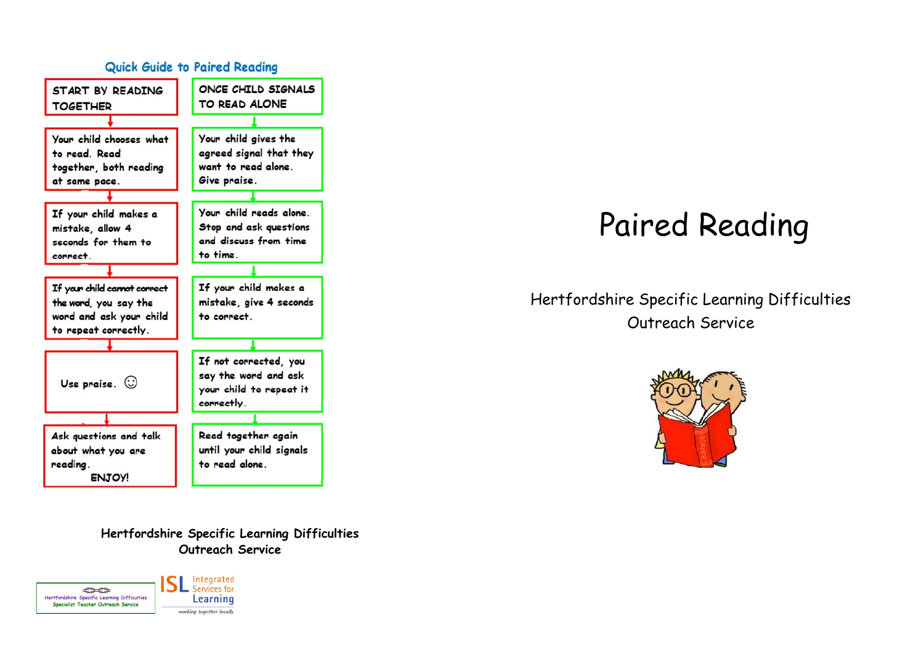

**Hertfordshire Specific Learning Difficulties Outreach Service**



## Paired Reading

## Hertfordshire Specific Learning Difficulties Outreach Service